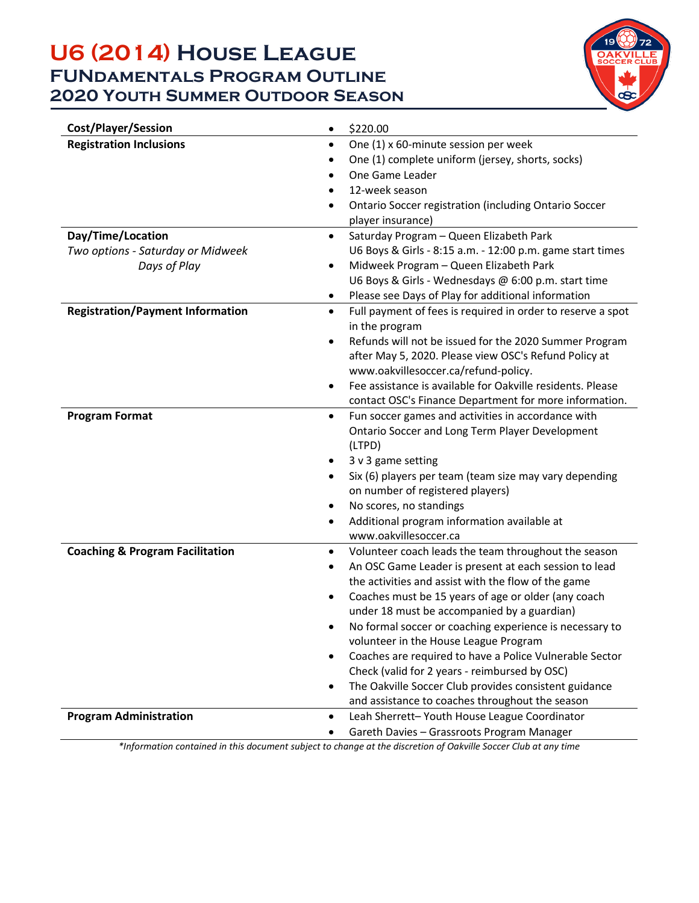## **U6 (2014) House League FUNdamentals Program Outline 2020 Youth Summer Outdoor Season**



| <b>Cost/Player/Session</b>                 | \$220.00<br>$\bullet$                                                    |  |  |
|--------------------------------------------|--------------------------------------------------------------------------|--|--|
| <b>Registration Inclusions</b>             | One (1) x 60-minute session per week<br>$\bullet$                        |  |  |
|                                            | One (1) complete uniform (jersey, shorts, socks)<br>٠                    |  |  |
|                                            | One Game Leader                                                          |  |  |
|                                            | 12-week season<br>$\bullet$                                              |  |  |
|                                            | Ontario Soccer registration (including Ontario Soccer<br>$\bullet$       |  |  |
|                                            | player insurance)                                                        |  |  |
| Day/Time/Location                          | Saturday Program - Queen Elizabeth Park<br>$\bullet$                     |  |  |
| Two options - Saturday or Midweek          | U6 Boys & Girls - 8:15 a.m. - 12:00 p.m. game start times                |  |  |
| Days of Play                               | Midweek Program - Queen Elizabeth Park<br>$\bullet$                      |  |  |
|                                            | U6 Boys & Girls - Wednesdays @ 6:00 p.m. start time                      |  |  |
|                                            | Please see Days of Play for additional information<br>٠                  |  |  |
| <b>Registration/Payment Information</b>    | Full payment of fees is required in order to reserve a spot<br>$\bullet$ |  |  |
|                                            | in the program                                                           |  |  |
|                                            | Refunds will not be issued for the 2020 Summer Program<br>$\bullet$      |  |  |
|                                            | after May 5, 2020. Please view OSC's Refund Policy at                    |  |  |
|                                            | www.oakvillesoccer.ca/refund-policy.                                     |  |  |
|                                            | Fee assistance is available for Oakville residents. Please               |  |  |
|                                            | contact OSC's Finance Department for more information.                   |  |  |
| <b>Program Format</b>                      | Fun soccer games and activities in accordance with<br>$\bullet$          |  |  |
|                                            | Ontario Soccer and Long Term Player Development<br>(LTPD)                |  |  |
|                                            | 3 v 3 game setting                                                       |  |  |
|                                            | Six (6) players per team (team size may vary depending<br>$\bullet$      |  |  |
|                                            | on number of registered players)                                         |  |  |
|                                            | No scores, no standings<br>$\bullet$                                     |  |  |
|                                            | Additional program information available at<br>$\bullet$                 |  |  |
|                                            | www.oakvillesoccer.ca                                                    |  |  |
| <b>Coaching &amp; Program Facilitation</b> | Volunteer coach leads the team throughout the season<br>$\bullet$        |  |  |
|                                            | An OSC Game Leader is present at each session to lead<br>$\bullet$       |  |  |
|                                            | the activities and assist with the flow of the game                      |  |  |
|                                            | Coaches must be 15 years of age or older (any coach<br>$\bullet$         |  |  |
|                                            | under 18 must be accompanied by a guardian)                              |  |  |
|                                            | No formal soccer or coaching experience is necessary to<br>٠             |  |  |
|                                            | volunteer in the House League Program                                    |  |  |
|                                            | Coaches are required to have a Police Vulnerable Sector                  |  |  |
|                                            | Check (valid for 2 years - reimbursed by OSC)                            |  |  |
|                                            | The Oakville Soccer Club provides consistent guidance<br>$\bullet$       |  |  |
|                                            | and assistance to coaches throughout the season                          |  |  |
| <b>Program Administration</b>              | Leah Sherrett- Youth House League Coordinator<br>$\bullet$               |  |  |
|                                            | Gareth Davies - Grassroots Program Manager                               |  |  |

*\*Information contained in this document subject to change at the discretion of Oakville Soccer Club at any time*